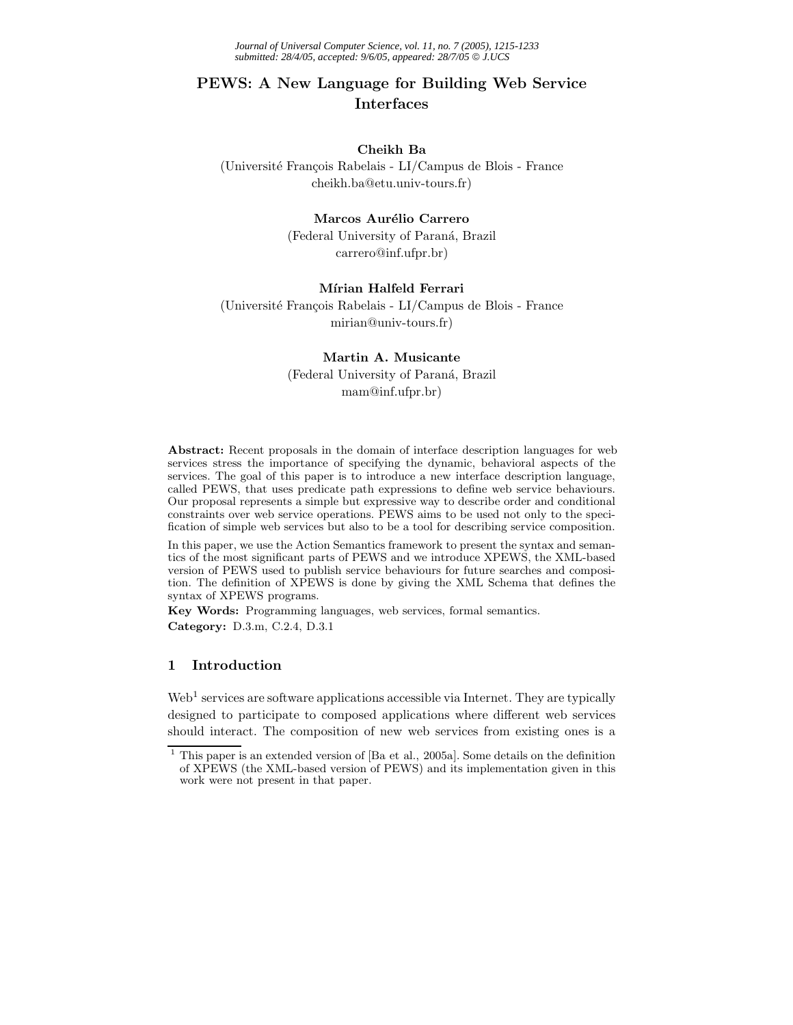# **PEWS: A New Language for Building Web Service Interfaces**

# **Cheikh Ba**

(Université François Rabelais - LI/Campus de Blois - France cheikh.ba@etu.univ-tours.fr)

## **Marcos Aurélio Carrero**

(Federal University of Paran´a, Brazil carrero@inf.ufpr.br)

# **Mírian Halfeld Ferrari**

(Université François Rabelais - LI/Campus de Blois - France mirian@univ-tours.fr)

### **Martin A. Musicante**

(Federal University of Paraná, Brazil mam@inf.ufpr.br)

**Abstract:** Recent proposals in the domain of interface description languages for web services stress the importance of specifying the dynamic, behavioral aspects of the services. The goal of this paper is to introduce a new interface description language, called PEWS, that uses predicate path expressions to define web service behaviours. Our proposal represents a simple but expressive way to describe order and conditional constraints over web service operations. PEWS aims to be used not only to the specification of simple web services but also to be a tool for describing service composition.

In this paper, we use the Action Semantics framework to present the syntax and semantics of the most significant parts of PEWS and we introduce XPEWS, the XML-based version of PEWS used to publish service behaviours for future searches and composition. The definition of XPEWS is done by giving the XML Schema that defines the syntax of XPEWS programs.

**Key Words:** Programming languages, web services, formal semantics. **Category:** D.3.m, C.2.4, D.3.1

## **1 Introduction**

Web<sup>1</sup> services are software applications accessible via Internet. They are typically designed to participate to composed applications where different web services should interact. The composition of new web services from existing ones is a

<sup>&</sup>lt;sup>1</sup> This paper is an extended version of [Ba et al., 2005a]. Some details on the definition of XPEWS (the XML-based version of PEWS) and its implementation given in this work were not present in that paper.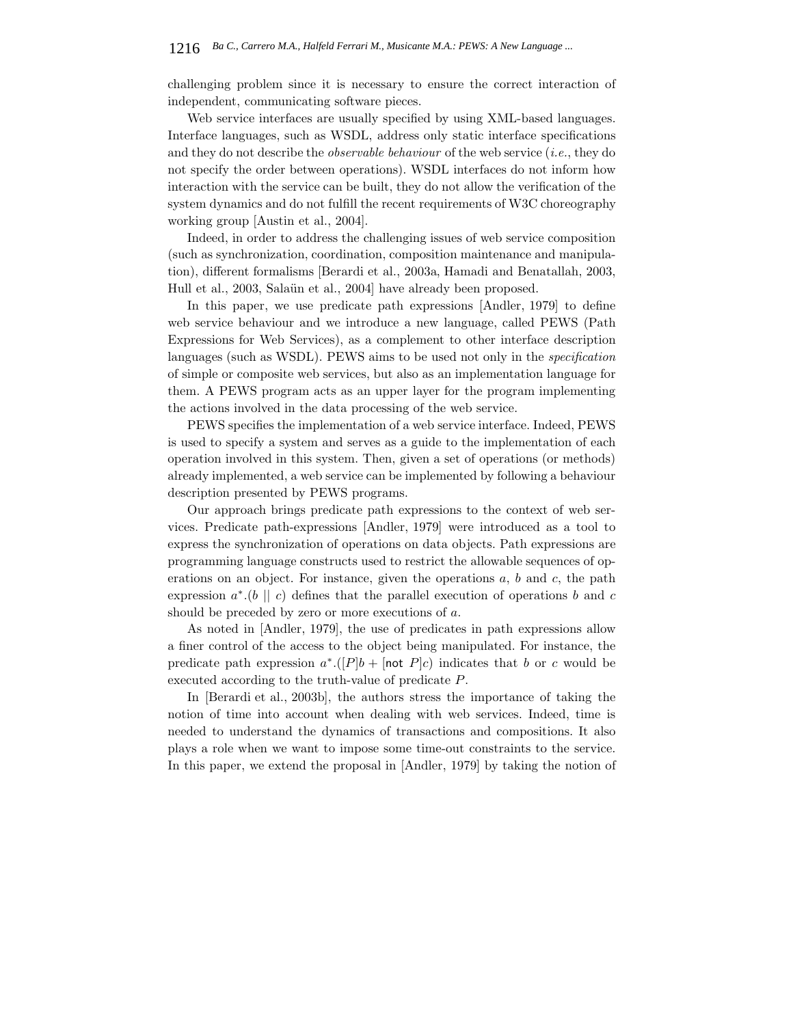challenging problem since it is necessary to ensure the correct interaction of independent, communicating software pieces.

Web service interfaces are usually specified by using XML-based languages. Interface languages, such as WSDL, address only static interface specifications and they do not describe the *observable behaviour* of the web service (*i.e.*, they do not specify the order between operations). WSDL interfaces do not inform how interaction with the service can be built, they do not allow the verification of the system dynamics and do not fulfill the recent requirements of W3C choreography working group [Austin et al., 2004].

Indeed, in order to address the challenging issues of web service composition (such as synchronization, coordination, composition maintenance and manipulation), different formalisms [Berardi et al., 2003a, Hamadi and Benatallah, 2003, Hull et al., 2003, Salaün et al., 2004] have already been proposed.

In this paper, we use predicate path expressions [Andler, 1979] to define web service behaviour and we introduce a new language, called PEWS (Path Expressions for Web Services), as a complement to other interface description languages (such as WSDL). PEWS aims to be used not only in the *specification* of simple or composite web services, but also as an implementation language for them. A PEWS program acts as an upper layer for the program implementing the actions involved in the data processing of the web service.

PEWS specifies the implementation of a web service interface. Indeed, PEWS is used to specify a system and serves as a guide to the implementation of each operation involved in this system. Then, given a set of operations (or methods) already implemented, a web service can be implemented by following a behaviour description presented by PEWS programs.

Our approach brings predicate path expressions to the context of web services. Predicate path-expressions [Andler, 1979] were introduced as a tool to express the synchronization of operations on data objects. Path expressions are programming language constructs used to restrict the allowable sequences of operations on an object. For instance, given the operations  $a, b$  and  $c$ , the path expression  $a^*$ .(b || c) defines that the parallel execution of operations b and c should be preceded by zero or more executions of a.

As noted in [Andler, 1979], the use of predicates in path expressions allow a finer control of the access to the object being manipulated. For instance, the predicate path expression  $a^*$ .([P]b + [not P]c) indicates that b or c would be executed according to the truth-value of predicate P.

In [Berardi et al., 2003b], the authors stress the importance of taking the notion of time into account when dealing with web services. Indeed, time is needed to understand the dynamics of transactions and compositions. It also plays a role when we want to impose some time-out constraints to the service. In this paper, we extend the proposal in [Andler, 1979] by taking the notion of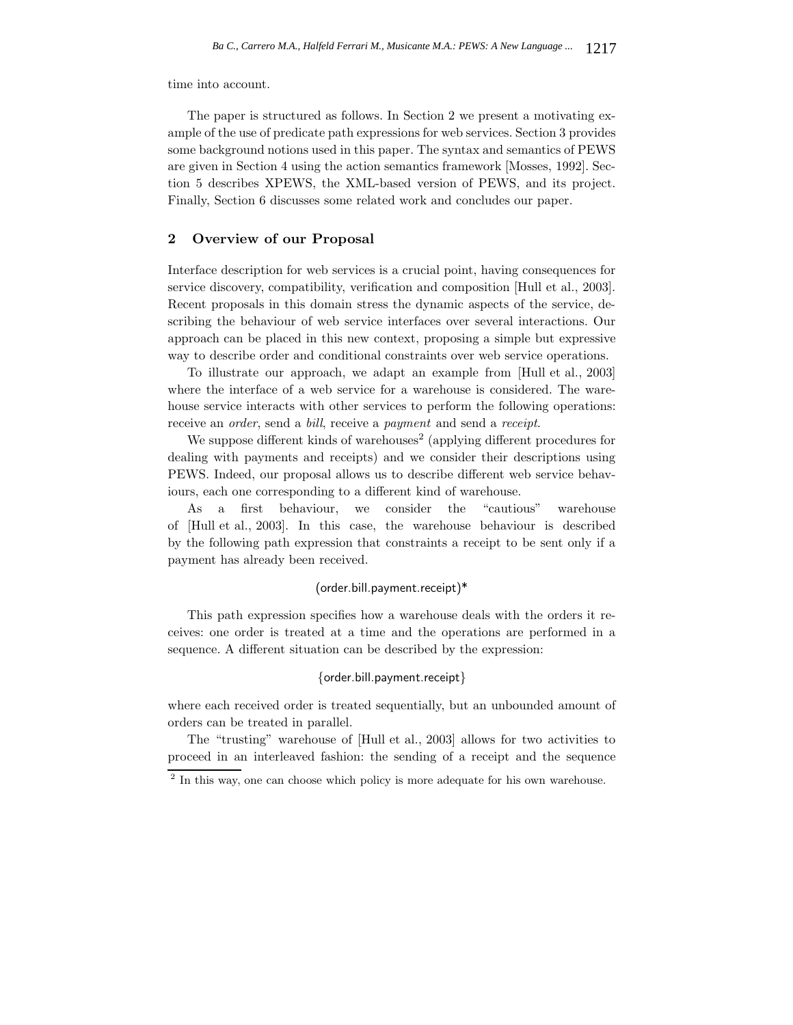time into account.

The paper is structured as follows. In Section 2 we present a motivating example of the use of predicate path expressions for web services. Section 3 provides some background notions used in this paper. The syntax and semantics of PEWS are given in Section 4 using the action semantics framework [Mosses, 1992]. Section 5 describes XPEWS, the XML-based version of PEWS, and its project. Finally, Section 6 discusses some related work and concludes our paper.

## **2 Overview of our Proposal**

Interface description for web services is a crucial point, having consequences for service discovery, compatibility, verification and composition [Hull et al., 2003]. Recent proposals in this domain stress the dynamic aspects of the service, describing the behaviour of web service interfaces over several interactions. Our approach can be placed in this new context, proposing a simple but expressive way to describe order and conditional constraints over web service operations.

To illustrate our approach, we adapt an example from [Hull et al., 2003] where the interface of a web service for a warehouse is considered. The warehouse service interacts with other services to perform the following operations: receive an *order*, send a *bill*, receive a *payment* and send a *receipt*.

We suppose different kinds of warehouses<sup>2</sup> (applying different procedures for dealing with payments and receipts) and we consider their descriptions using PEWS. Indeed, our proposal allows us to describe different web service behaviours, each one corresponding to a different kind of warehouse.

As a first behaviour, we consider the "cautious" warehouse of [Hull et al., 2003]. In this case, the warehouse behaviour is described by the following path expression that constraints a receipt to be sent only if a payment has already been received.

#### (order.bill.payment.receipt)\*

This path expression specifies how a warehouse deals with the orders it receives: one order is treated at a time and the operations are performed in a sequence. A different situation can be described by the expression:

#### {order.bill.payment.receipt}

where each received order is treated sequentially, but an unbounded amount of orders can be treated in parallel.

The "trusting" warehouse of [Hull et al., 2003] allows for two activities to proceed in an interleaved fashion: the sending of a receipt and the sequence

<sup>&</sup>lt;sup>2</sup> In this way, one can choose which policy is more adequate for his own warehouse.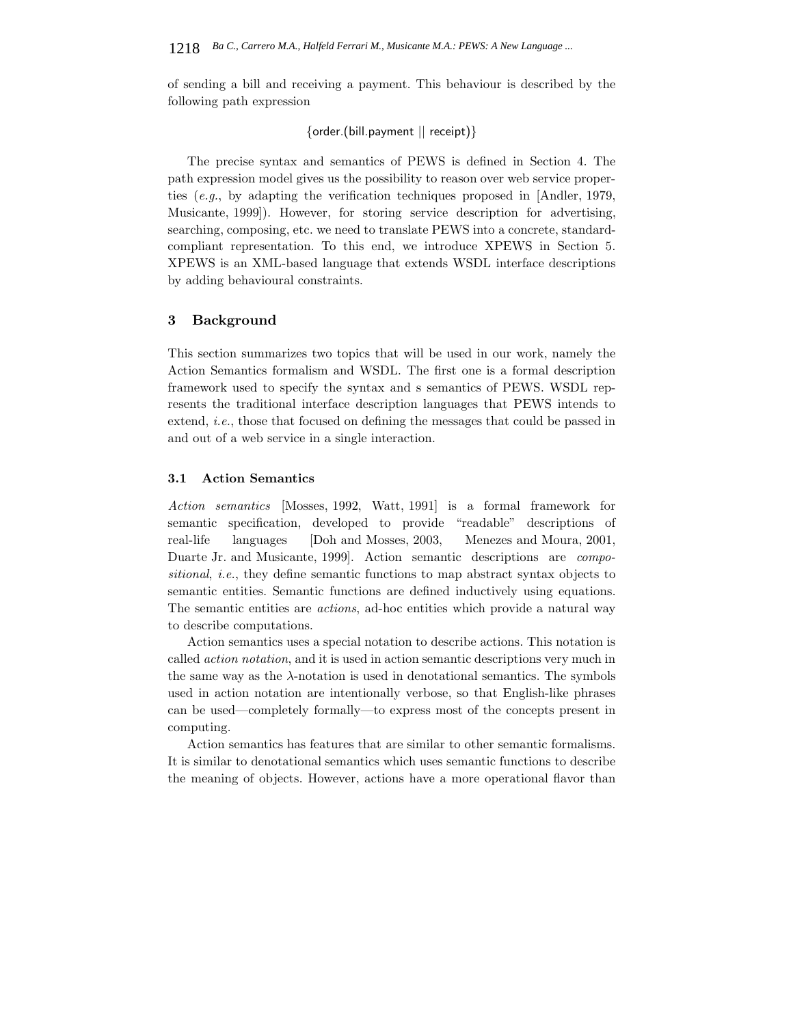of sending a bill and receiving a payment. This behaviour is described by the following path expression

{order.(bill.payment || receipt)}

The precise syntax and semantics of PEWS is defined in Section 4. The path expression model gives us the possibility to reason over web service properties (*e.g.*, by adapting the verification techniques proposed in [Andler, 1979, Musicante, 1999]). However, for storing service description for advertising, searching, composing, etc. we need to translate PEWS into a concrete, standardcompliant representation. To this end, we introduce XPEWS in Section 5. XPEWS is an XML-based language that extends WSDL interface descriptions by adding behavioural constraints.

## **3 Background**

This section summarizes two topics that will be used in our work, namely the Action Semantics formalism and WSDL. The first one is a formal description framework used to specify the syntax and s semantics of PEWS. WSDL represents the traditional interface description languages that PEWS intends to extend, *i.e.*, those that focused on defining the messages that could be passed in and out of a web service in a single interaction.

## **3.1 Action Semantics**

*Action semantics* [Mosses, 1992, Watt, 1991] is a formal framework for semantic specification, developed to provide "readable" descriptions of real-life languages [Doh and Mosses, 2003, Menezes and Moura, 2001, Duarte Jr. and Musicante, 1999]. Action semantic descriptions are *compositional*, *i.e.*, they define semantic functions to map abstract syntax objects to semantic entities. Semantic functions are defined inductively using equations. The semantic entities are *actions*, ad-hoc entities which provide a natural way to describe computations.

Action semantics uses a special notation to describe actions. This notation is called *action notation*, and it is used in action semantic descriptions very much in the same way as the  $\lambda$ -notation is used in denotational semantics. The symbols used in action notation are intentionally verbose, so that English-like phrases can be used—completely formally—to express most of the concepts present in computing.

Action semantics has features that are similar to other semantic formalisms. It is similar to denotational semantics which uses semantic functions to describe the meaning of objects. However, actions have a more operational flavor than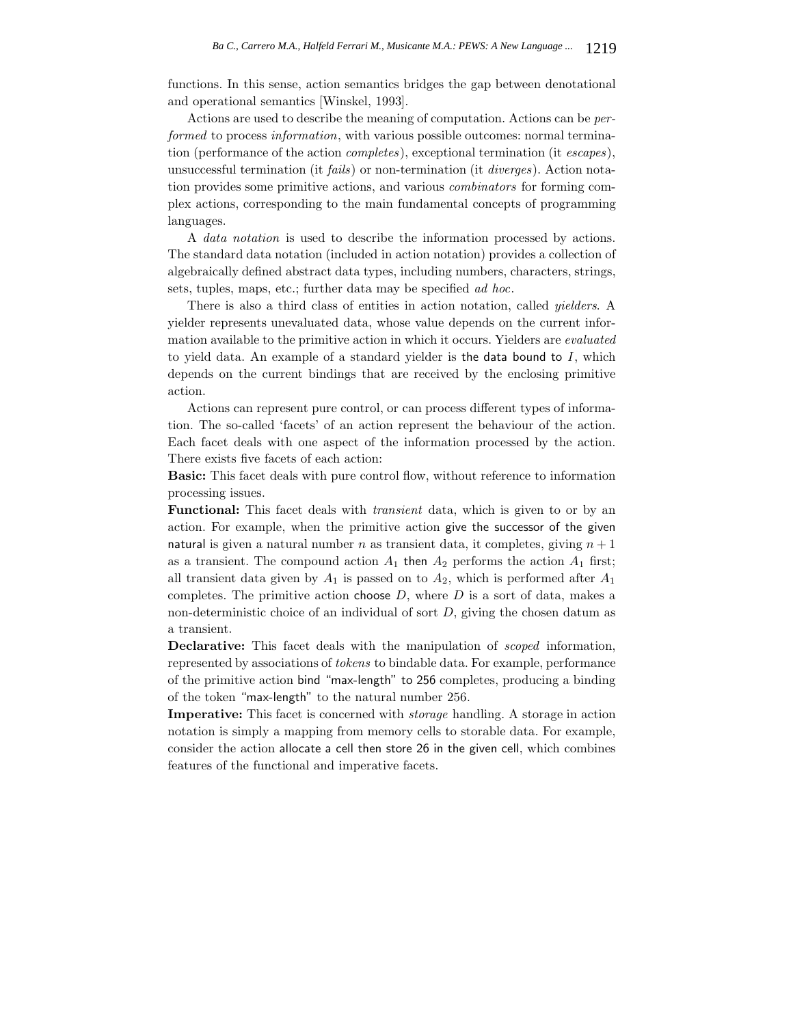functions. In this sense, action semantics bridges the gap between denotational and operational semantics [Winskel, 1993].

Actions are used to describe the meaning of computation. Actions can be *performed* to process *information*, with various possible outcomes: normal termination (performance of the action *completes*), exceptional termination (it *escapes*), unsuccessful termination (it *fails*) or non-termination (it *diverges*). Action notation provides some primitive actions, and various *combinators* for forming complex actions, corresponding to the main fundamental concepts of programming languages.

A *data notation* is used to describe the information processed by actions. The standard data notation (included in action notation) provides a collection of algebraically defined abstract data types, including numbers, characters, strings, sets, tuples, maps, etc.; further data may be specified *ad hoc*.

There is also a third class of entities in action notation, called *yielders*. A yielder represents unevaluated data, whose value depends on the current information available to the primitive action in which it occurs. Yielders are *evaluated* to yield data. An example of a standard yielder is the data bound to *I*, which depends on the current bindings that are received by the enclosing primitive action.

Actions can represent pure control, or can process different types of information. The so-called 'facets' of an action represent the behaviour of the action. Each facet deals with one aspect of the information processed by the action. There exists five facets of each action:

**Basic:** This facet deals with pure control flow, without reference to information processing issues.

**Functional:** This facet deals with *transient* data, which is given to or by an action. For example, when the primitive action give the successor of the given natural is given a natural number n as transient data, it completes, giving  $n + 1$ as a transient. The compound action  $A_1$  then  $A_2$  performs the action  $A_1$  first; all transient data given by  $A_1$  is passed on to  $A_2$ , which is performed after  $A_1$ completes. The primitive action choose  $D$ , where  $D$  is a sort of data, makes a non-deterministic choice of an individual of sort  $D$ , giving the chosen datum as a transient.

**Declarative:** This facet deals with the manipulation of *scoped* information, represented by associations of *tokens* to bindable data. For example, performance of the primitive action bind "max-length" to 256 completes, producing a binding of the token "max-length" to the natural number 256.

**Imperative:** This facet is concerned with *storage* handling. A storage in action notation is simply a mapping from memory cells to storable data. For example, consider the action allocate a cell then store 26 in the given cell, which combines features of the functional and imperative facets.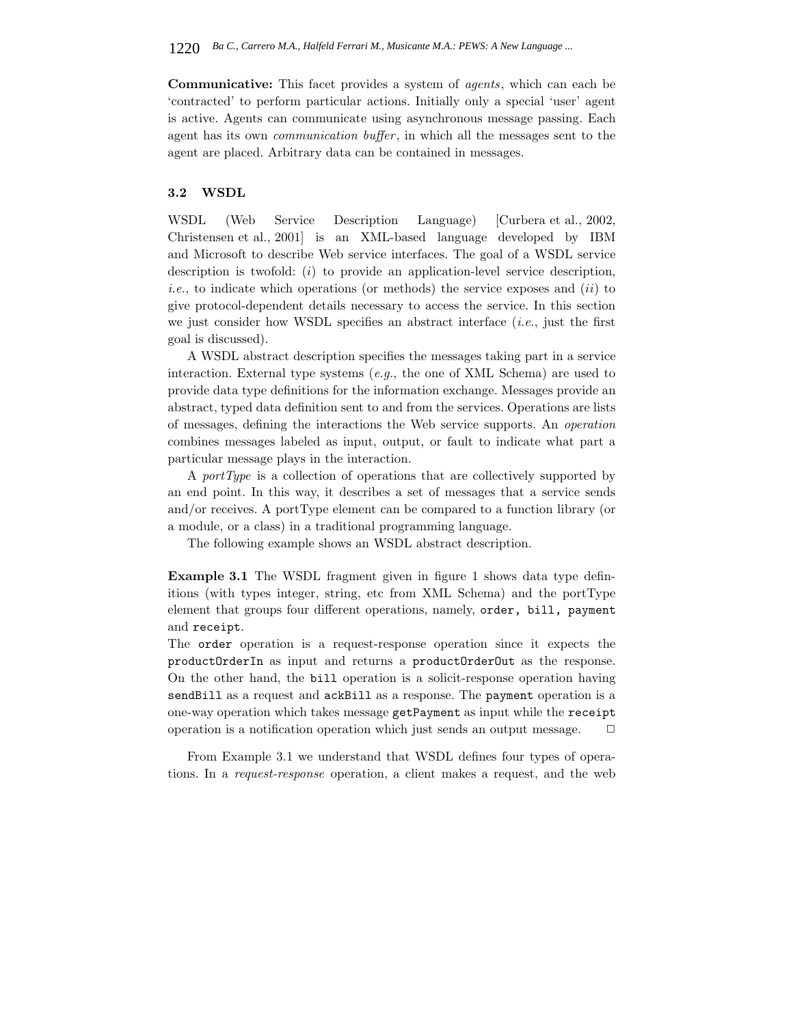**Communicative:** This facet provides a system of *agents*, which can each be 'contracted' to perform particular actions. Initially only a special 'user' agent is active. Agents can communicate using asynchronous message passing. Each agent has its own *communication buffer* , in which all the messages sent to the agent are placed. Arbitrary data can be contained in messages.

### **3.2 WSDL**

WSDL (Web Service Description Language) [Curbera et al., 2002, Christensen et al., 2001] is an XML-based language developed by IBM and Microsoft to describe Web service interfaces. The goal of a WSDL service description is twofold: (i) to provide an application-level service description, *i.e.*, to indicate which operations (or methods) the service exposes and  $(ii)$  to give protocol-dependent details necessary to access the service. In this section we just consider how WSDL specifies an abstract interface (*i.e.*, just the first goal is discussed).

A WSDL abstract description specifies the messages taking part in a service interaction. External type systems (*e.g.*, the one of XML Schema) are used to provide data type definitions for the information exchange. Messages provide an abstract, typed data definition sent to and from the services. Operations are lists of messages, defining the interactions the Web service supports. An *operation* combines messages labeled as input, output, or fault to indicate what part a particular message plays in the interaction.

A *portType* is a collection of operations that are collectively supported by an end point. In this way, it describes a set of messages that a service sends and/or receives. A portType element can be compared to a function library (or a module, or a class) in a traditional programming language.

The following example shows an WSDL abstract description.

**Example 3.1** The WSDL fragment given in figure 1 shows data type definitions (with types integer, string, etc from XML Schema) and the portType element that groups four different operations, namely, order, bill, payment and receipt.

The order operation is a request-response operation since it expects the productOrderIn as input and returns a productOrderOut as the response. On the other hand, the bill operation is a solicit-response operation having sendBill as a request and ackBill as a response. The payment operation is a one-way operation which takes message getPayment as input while the receipt operation is a notification operation which just sends an output message.  $\Box$ 

From Example 3.1 we understand that WSDL defines four types of operations. In a *request-response* operation, a client makes a request, and the web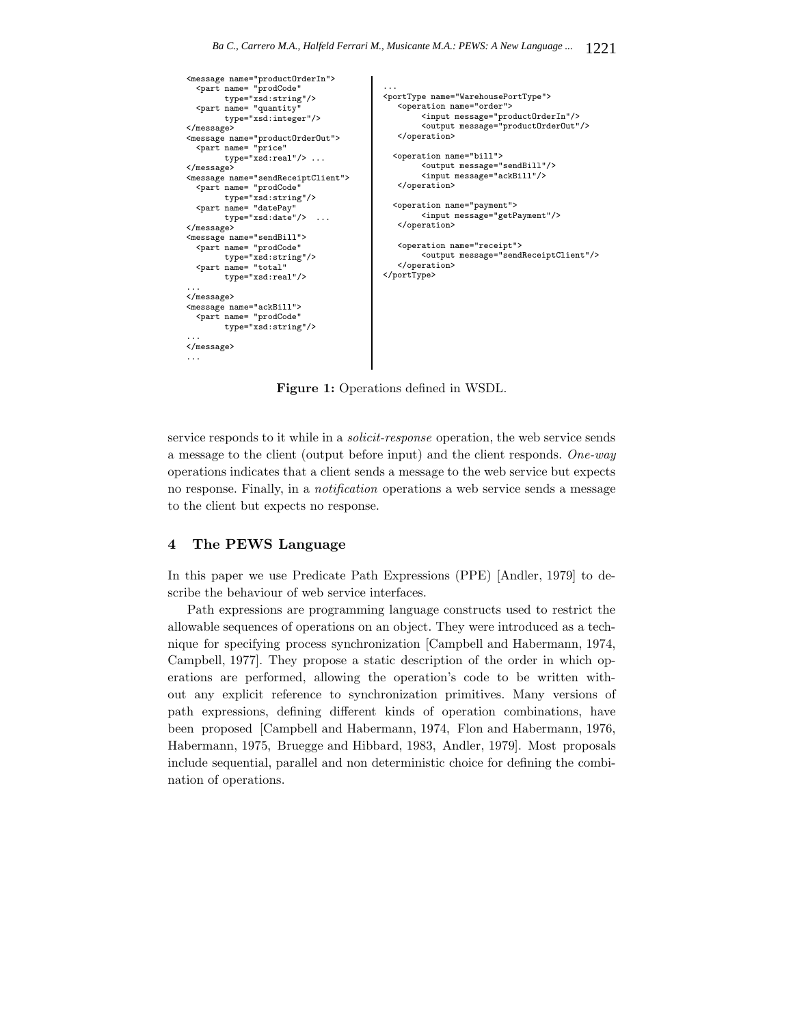```
<message name="productOrderIn">
  <part name= "prodCode"
        type="xsd:string"/>
  <part name= "quantity"
        type="xsd:integer"/>
</message>
<message name="productOrderOut">
  <part name= "price"
        type="xsd:real"/> ...
</message>
<message name="sendReceiptClient">
  <part name= "prodCode"
        type="xsd:string"/>
  <part name= "datePay"
       type="xsd:date"/> ...
</message>
<message name="sendBill">
  <part name= "prodCode"
       type="xsd:string"/>
  <part name= "total"
        type="xsd:real"/>
...
</message>
<message name="ackBill">
  <part name= "prodCode"
       type="xsd:string"/>
...
</message>
...
                                           ...
<portType name="WarehousePortType">
                                              <operation name="order">
                                                   <input message="productOrderIn"/>
                                                   <output message="productOrderOut"/>
                                             </operation>
                                            <operation name="bill">
                                                  <output message="sendBill"/>
                                                  <input message="ackBill"/>
                                             </operation>
                                            <operation name="payment">
                                                  <input message="getPayment"/>
                                             </operation>
                                              <operation name="receipt">
                                                  <output message="sendReceiptClient"/>
                                             </operation>
                                          </portType>
```
**Figure 1:** Operations defined in WSDL.

service responds to it while in a *solicit-response* operation, the web service sends a message to the client (output before input) and the client responds. *One-way* operations indicates that a client sends a message to the web service but expects no response. Finally, in a *notification* operations a web service sends a message to the client but expects no response.

## **4 The PEWS Language**

In this paper we use Predicate Path Expressions (PPE) [Andler, 1979] to describe the behaviour of web service interfaces.

Path expressions are programming language constructs used to restrict the allowable sequences of operations on an object. They were introduced as a technique for specifying process synchronization [Campbell and Habermann, 1974, Campbell, 1977]. They propose a static description of the order in which operations are performed, allowing the operation's code to be written without any explicit reference to synchronization primitives. Many versions of path expressions, defining different kinds of operation combinations, have been proposed [Campbell and Habermann, 1974, Flon and Habermann, 1976, Habermann, 1975, Bruegge and Hibbard, 1983, Andler, 1979]. Most proposals include sequential, parallel and non deterministic choice for defining the combination of operations.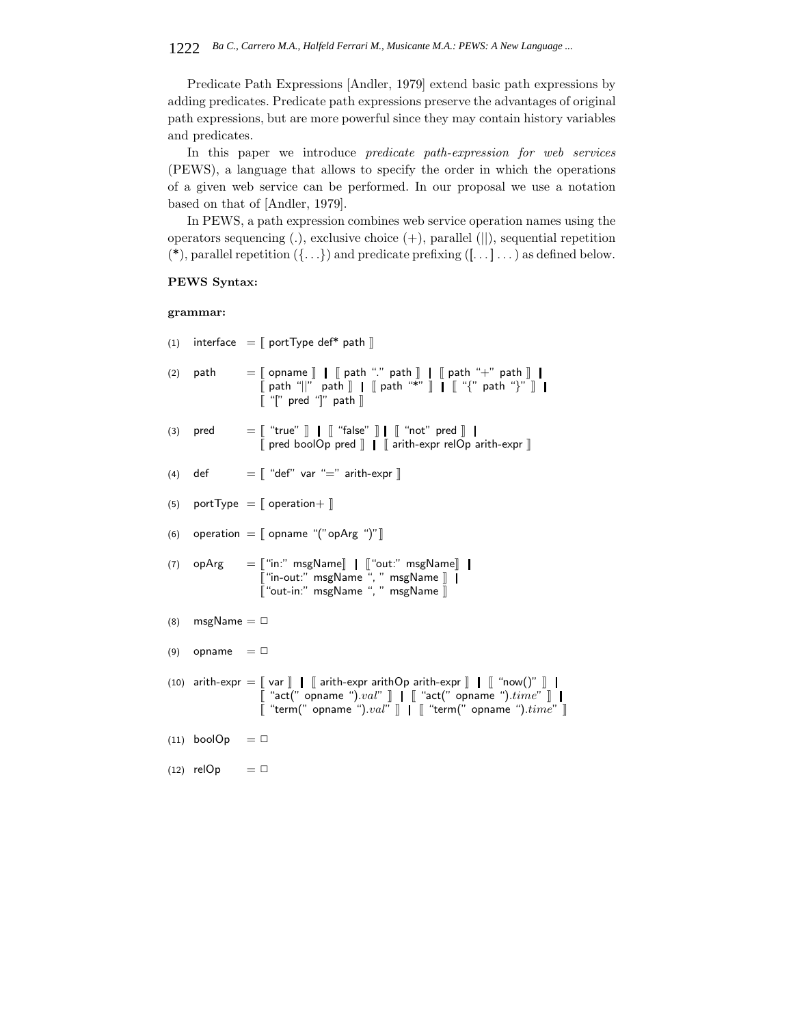Predicate Path Expressions [Andler, 1979] extend basic path expressions by adding predicates. Predicate path expressions preserve the advantages of original path expressions, but are more powerful since they may contain history variables and predicates.

In this paper we introduce *predicate path-expression for web services* (PEWS), a language that allows to specify the order in which the operations of a given web service can be performed. In our proposal we use a notation based on that of [Andler, 1979].

In PEWS, a path expression combines web service operation names using the operators sequencing  $(.)$ , exclusive choice  $(+)$ , parallel  $(||)$ , sequential repetition (\*), parallel repetition  $({\ldots})$  and predicate prefixing  $({\ldots}) \ldots$ ) as defined below.

# **PEWS Syntax:**

**grammar:**

```
(1) interface = \lceil portType def* path \rceil(2) path = [ opname ] | [ path "." path ] | [ path "+" path ] |
                            \left[\begin{array}{cc} path "\end{array}\right]" path \left[\begin{array}{cc} path "\left[\begin{array}{cc}" \end{array}\right] \left[\begin{array}{cc} \left[\begin{array}{cc} \end{array}\right] \left[\begin{array}{cc} \left[\begin{array}{cc} \end{array}\right] \left[\begin{array}{cc} \left[\begin{array}{cc} \end{array}\right] \left[\begin{array}{cc} \left[\begin{array}{cc} \end{array}\right] \left[\begin{array}{cc}\parallel "[" pred "]" path \parallel(3) pred = [ "true" ] | [ "false" ] | [ "not" pred ] |\parallel pred boolOp pred \parallel | \parallel arith-expr relOp arith-expr \parallel(4) def = \int "def" var "=" arith-expr \Vert(5) portType = [ operation + ]]
(6) operation = \lbrack \lbrack opname "("opArg ")"\lbrack \rbrack(7) opArg = [\n    "in:" msgName] | [\n    "out:" msgName]][["in-out:" msgName ", " msgName ]]
                            \parallel "out-in:" msgName ", " msgName \parallel(8) msgName = \Box(9) opname =\Box(10) arith-expr = \lceil \n\rceil var \rceil | \lceil \n\rceil arith-expr arithOp arith-expr \lceil \n\rceil | \lceil \n\rceil "now()" \lceil \n\rceil |
                            [[ "act(" opname ").val" ]] [[ "act(" opname ").time" ]]
                            [[ "term(" opname ").val" ]] [[ "term(" opname ").time" ]]
(11) boolOp =\Box(12) relOp \equiv \Box
```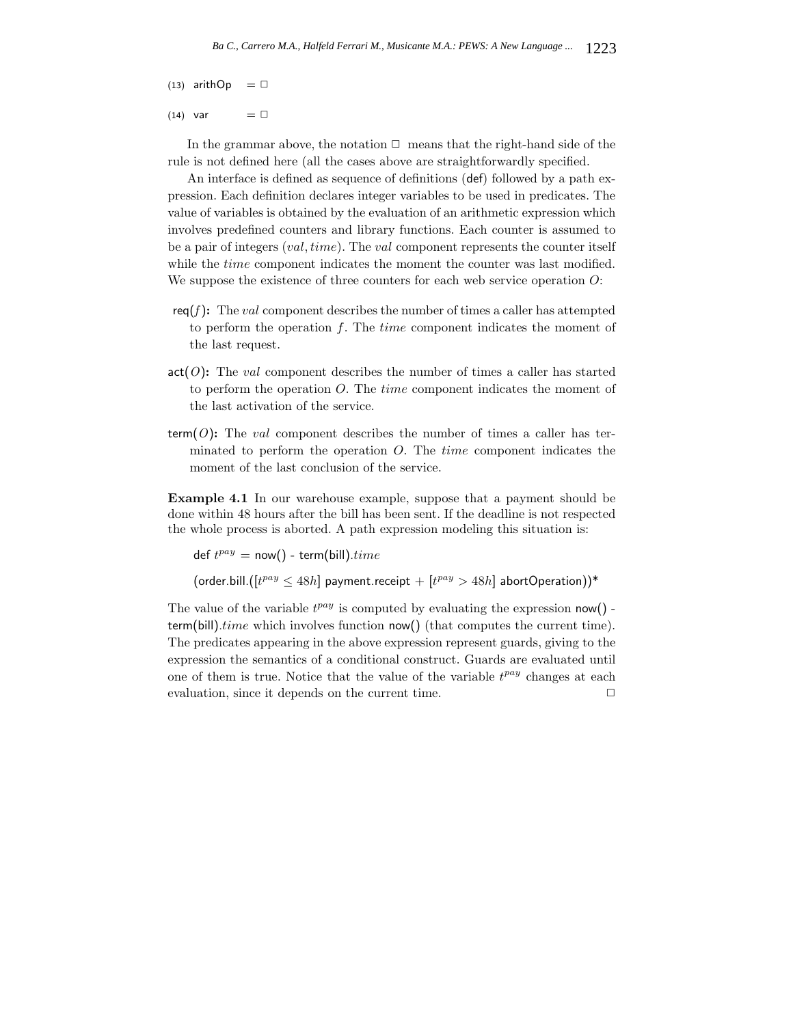- (13) arithOp  $\equiv \Box$
- (14) var  $=$   $\Box$

In the grammar above, the notation  $\Box$  means that the right-hand side of the rule is not defined here (all the cases above are straightforwardly specified.

An interface is defined as sequence of definitions (def) followed by a path expression. Each definition declares integer variables to be used in predicates. The value of variables is obtained by the evaluation of an arithmetic expression which involves predefined counters and library functions. Each counter is assumed to be a pair of integers (val, time). The val component represents the counter itself while the *time* component indicates the moment the counter was last modified. We suppose the existence of three counters for each web service operation  $O$ :

- req $(f)$ : The val component describes the number of times a caller has attempted to perform the operation  $f$ . The *time* component indicates the moment of the last request.
- $act(O)$ : The *val* component describes the number of times a caller has started to perform the operation  $O$ . The *time* component indicates the moment of the last activation of the service.
- term( $O$ ): The val component describes the number of times a caller has terminated to perform the operation  $O$ . The *time* component indicates the moment of the last conclusion of the service.

**Example 4.1** In our warehouse example, suppose that a payment should be done within 48 hours after the bill has been sent. If the deadline is not respected the whole process is aborted. A path expression modeling this situation is:

def  $t^{pay} = \text{now}()$  - term(bill). $time$  $($ order.bill. $([t^{pay} \leq 48h]$  payment.receipt  $+[t^{pay} > 48h]$  abortOperation))\*

The value of the variable  $t^{pay}$  is computed by evaluating the expression  $now()$  term(bill).time which involves function now() (that computes the current time). The predicates appearing in the above expression represent guards, giving to the expression the semantics of a conditional construct. Guards are evaluated until one of them is true. Notice that the value of the variable  $t^{pay}$  changes at each evaluation, since it depends on the current time.  $\Box$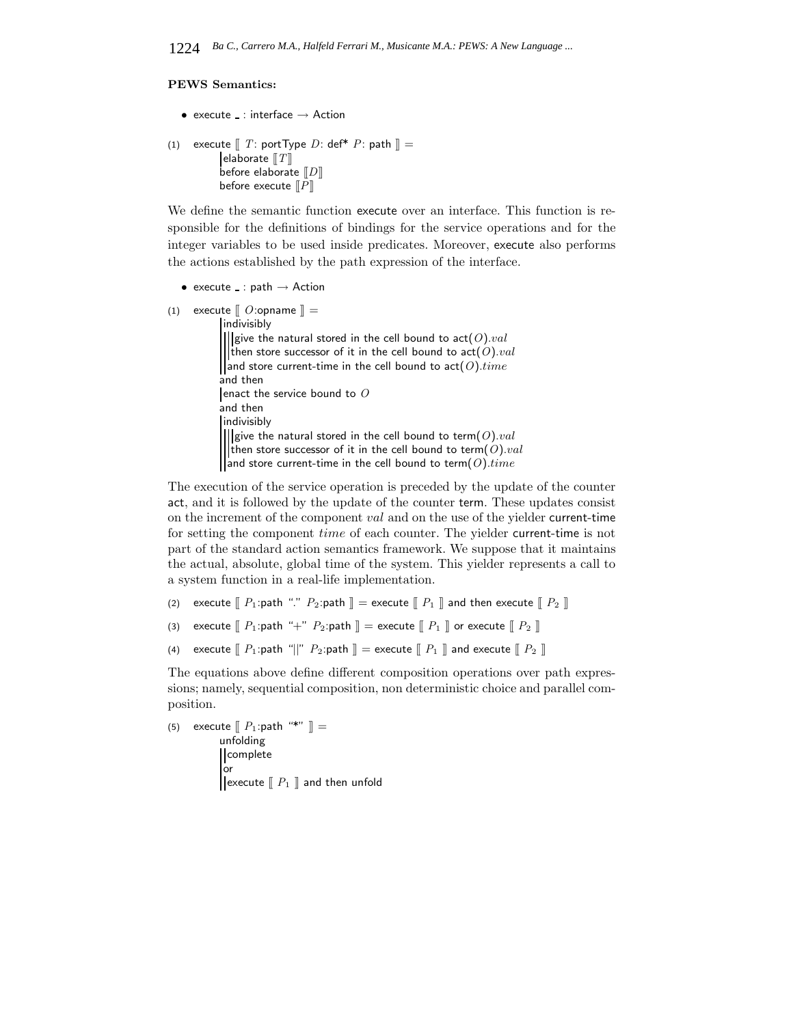#### **PEWS Semantics:**

• execute  $\therefore$  interface  $\rightarrow$  Action

```
(1) execute \llbracket T: \text{portType } D: \text{def* } P: \text{path } \llbracket =elaborate [[T]]
              before elaborate [[D]]
              before execute [[P]]
```
We define the semantic function execute over an interface. This function is responsible for the definitions of bindings for the service operations and for the integer variables to be used inside predicates. Moreover, execute also performs the actions established by the path expression of the interface.

### • execute  $-$ : path  $\rightarrow$  Action

```
(1) execute \parallel O:opname \parallel =
            indivisibly
            \vert \vert \vert give the natural stored in the cell bound to act(O).valthen store successor of it in the cell bound to act(O).val
           and store current-time in the cell bound to act(O).time
           and then
           enact the service bound to O
           and then
           indivisibly
            \vert\vert\vert give the natural stored in the cell bound to term( O) .valthen store successor of it in the cell bound to term(O).val
            and store current-time in the cell bound to term(O).time
```
The execution of the service operation is preceded by the update of the counter act, and it is followed by the update of the counter term. These updates consist on the increment of the component val and on the use of the yielder current-time for setting the component time of each counter. The yielder current-time is not part of the standard action semantics framework. We suppose that it maintains the actual, absolute, global time of the system. This yielder represents a call to a system function in a real-life implementation.

- (2) execute  $[ P_1 : \text{path} \dots P_2 : \text{path} \dots] = \text{execute} [ P_1 ]$  and then execute  $[ P_2 ]$
- (3) execute  $[ P_1 : path " + " P_2 : path ] = execute [ P_1 ]$  or execute  $[ P_2 ]$
- (4) execute  $[$   $P_1$ :path " $|$ "  $P_2$ :path  $]$  = execute  $[$   $P_1$   $]$  and execute  $[$   $P_2$   $]$

The equations above define different composition operations over path expressions; namely, sequential composition, non deterministic choice and parallel composition.

(5) execute  $\left[ \begin{array}{cc} P_1: \text{path} \end{array} \right]$  = unfolding complete or execute  $\llbracket~P_1~\rrbracket$  and then unfold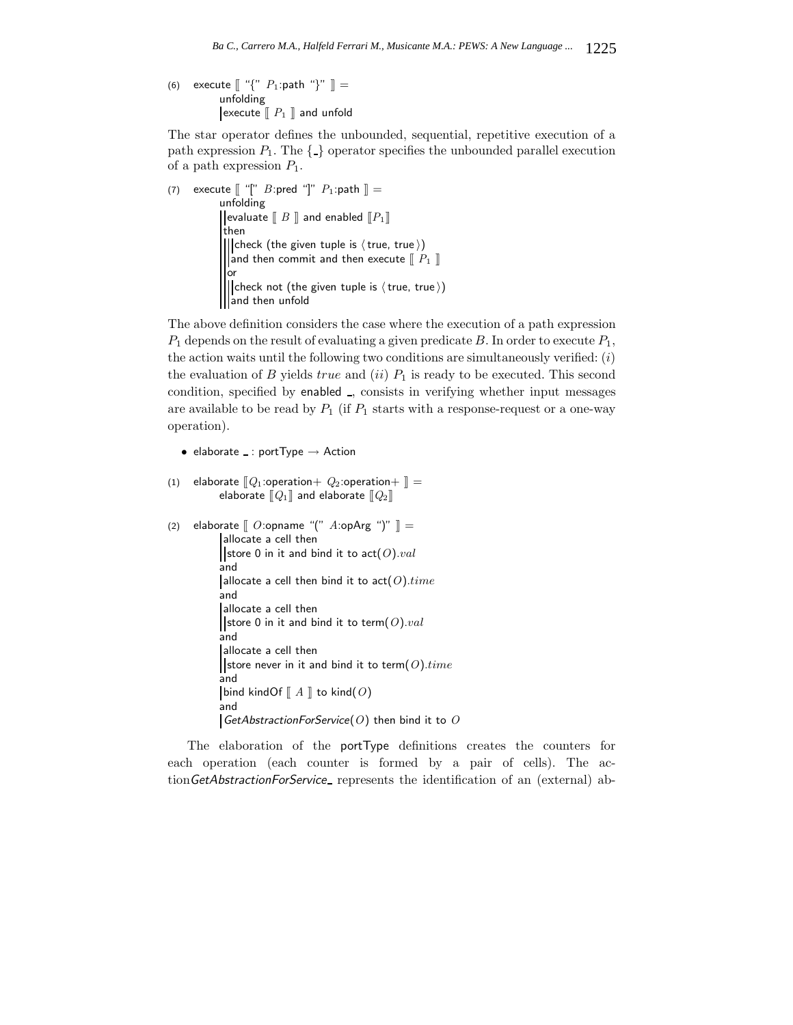(6) execute  $\left[\right]$  "{"  $P_1$ :path "}"  $\right] =$ unfolding execute  $[$   $P_1$   $]$  and unfold

The star operator defines the unbounded, sequential, repetitive execution of a path expression  $P_1$ . The  $\{\cdot\}$  operator specifies the unbounded parallel execution of a path expression  $P_1$ .

(7) execute 
$$
[[
$$
 "[" *B*:pred "[" *P*1:path  $]] =$   $[$   $[$  *B*  $]]$  and enabled  $[[P_1]]$  then  $[$   $[$   $[$   $]$   $]$   $[$   $]$   $]$   $[$   $]$   $]$   $[$   $]$   $]$   $[$   $]$   $]$   $[$   $]$   $]$   $]$   $[$   $]$   $]$   $]$   $]$   $[$   $]$   $]$   $]$   $]$   $]$   $[$   $]$   $]$   $]$   $[$   $]$   $]$   $]$   $[$   $]$   $]$   $[$   $]$   $]$   $[$   $]$   $]$   $[$   $]$   $]$   $[$   $]$   $]$   $[$   $]$   $]$   $[$   $]$   $]$   $[$   $]$   $[$   $]$   $]$   $[$   $]$   $]$   $[$   $]$  <math display="inline</p>

The above definition considers the case where the execution of a path expression  $P_1$  depends on the result of evaluating a given predicate B. In order to execute  $P_1$ , the action waits until the following two conditions are simultaneously verified:  $(i)$ the evaluation of B yields true and (ii)  $P_1$  is ready to be executed. This second condition, specified by enabled , consists in verifying whether input messages are available to be read by  $P_1$  (if  $P_1$  starts with a response-request or a one-way operation).

- elaborate  $\overline{\ }$  : portType  $\rightarrow$  Action
- (1) elaborate  $\llbracket Q_1$ :operation +  $Q_2$ :operation +  $\rrbracket$  = elaborate  $[\![Q_1]\!]$  and elaborate  $[\![Q_2]\!]$
- (2) elaborate  $[$  *O*:opname "(" *A*:opArg ")"  $] =$ allocate a cell then store 0 in it and bind it to act(*O*).*val* and allocate a cell then bind it to act(*O*).*time* and allocate a cell then store 0 in it and bind it to term(*O*).*val* and allocate a cell then Store never in it and bind it to term $(O).time$ and bind kindOf  $\llbracket A \rrbracket$  to kind( $O$ ) and *GetAbstractionForService*(*O*) then bind it to *O*

The elaboration of the portType definitions creates the counters for each operation (each counter is formed by a pair of cells). The action*GetAbstractionForService* represents the identification of an (external) ab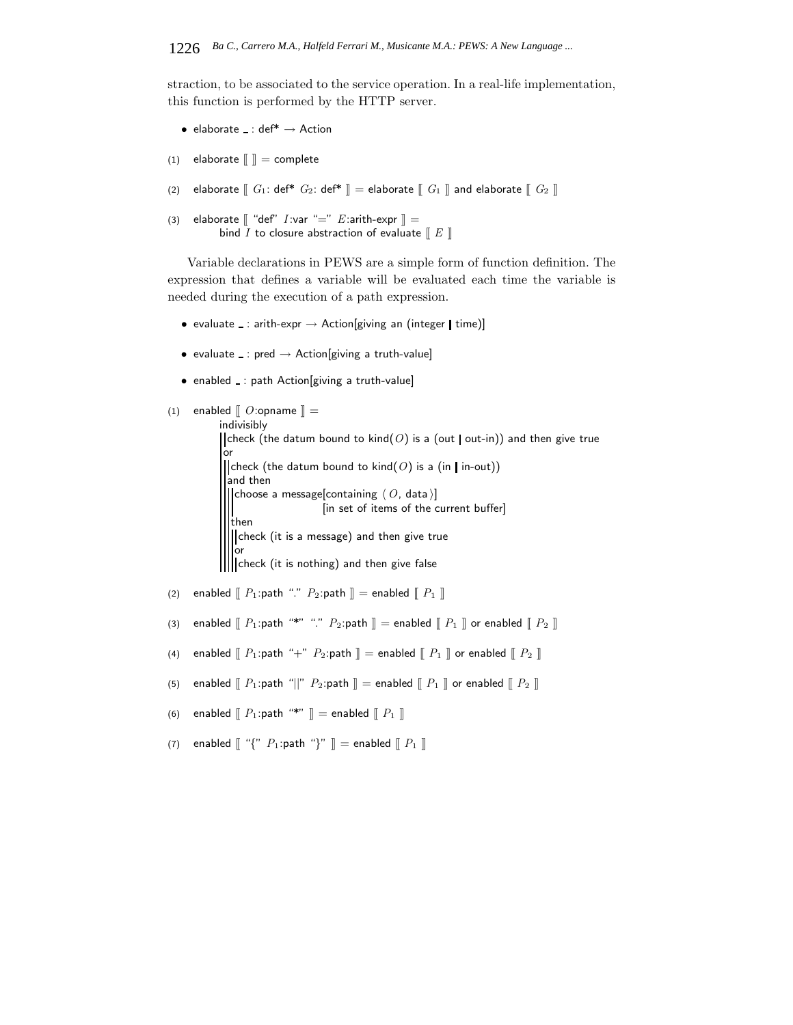straction, to be associated to the service operation. In a real-life implementation, this function is performed by the HTTP server.

```
\bullet elaborate \_ : def* \to Action
```
- (1) elaborate  $\llbracket \ \rrbracket = \text{complete}$
- (2) elaborate  $\llbracket G_1: \text{def* } G_2: \text{def* } \rrbracket = \text{elaborate } \llbracket G_1 \rrbracket$  and elaborate  $\llbracket G_2 \rrbracket$
- (3) elaborate  $\llbracket$  "def" *I*:var "=" *E*:arith-expr  $\rrbracket$  = bind *I* to closure abstraction of evaluate  $\parallel E \parallel$

Variable declarations in PEWS are a simple form of function definition. The expression that defines a variable will be evaluated each time the variable is needed during the execution of a path expression.

- evaluate : arith-expr  $\rightarrow$  Action [giving an (integer | time)]
- evaluate  $\Box$ : pred  $\rightarrow$  Action[giving a truth-value]
- enabled : path Action[giving a truth-value]

```
(1) enabled \llbracket O:\text{opname } \rrbracket =
```
indivisibly  $\vert$  check (the datum bound to kind( $O$ ) is a (out | out-in)) and then give true or  $\vert$  check (the datum bound to kind( $O$ ) is a (in  $\vert$  in-out)) and then choose a message[containing  $\langle$   $O,$  data  $\rangle$ ] [in set of items of the current buffer] then  $\left\vert \right\vert$  check (it is a message) and then give true or  $\left\lfloor \frac{n}{2} \right\rfloor$  check (it is nothing) and then give false

(2) enabled  $[ P_1: \text{path} \dots P_2: \text{path} \dots] = \text{enabeled} \cdot [ P_1 ]$ 

- (3) enabled  $[$   $P_1$ :path "\*" "."  $P_2$ :path  $]$  = enabled  $[$   $P_1$   $]$  or enabled  $[$   $P_2$   $]$
- (4) enabled  $[$   $P_1$ :path "+"  $P_2$ :path  $]$  = enabled  $[$   $P_1$   $]$  or enabled  $[$   $P_2$   $]$
- (5) enabled  $[$   $P_1$ :path " $|$ "  $P_2$ :path  $]$  = enabled  $[$   $P_1$   $]$  or enabled  $[$   $P_2$   $]$
- (6) enabled  $[$   $P_1$ :path "\*"  $]$  = enabled  $[$   $P_1$   $]$
- (7) enabled  $\left[\begin{array}{cc} "{q}" & P_1:$ path  $"\} \end{array}\right]$  = enabled  $\left[\begin{array}{cc} P_1 \end{array}\right]$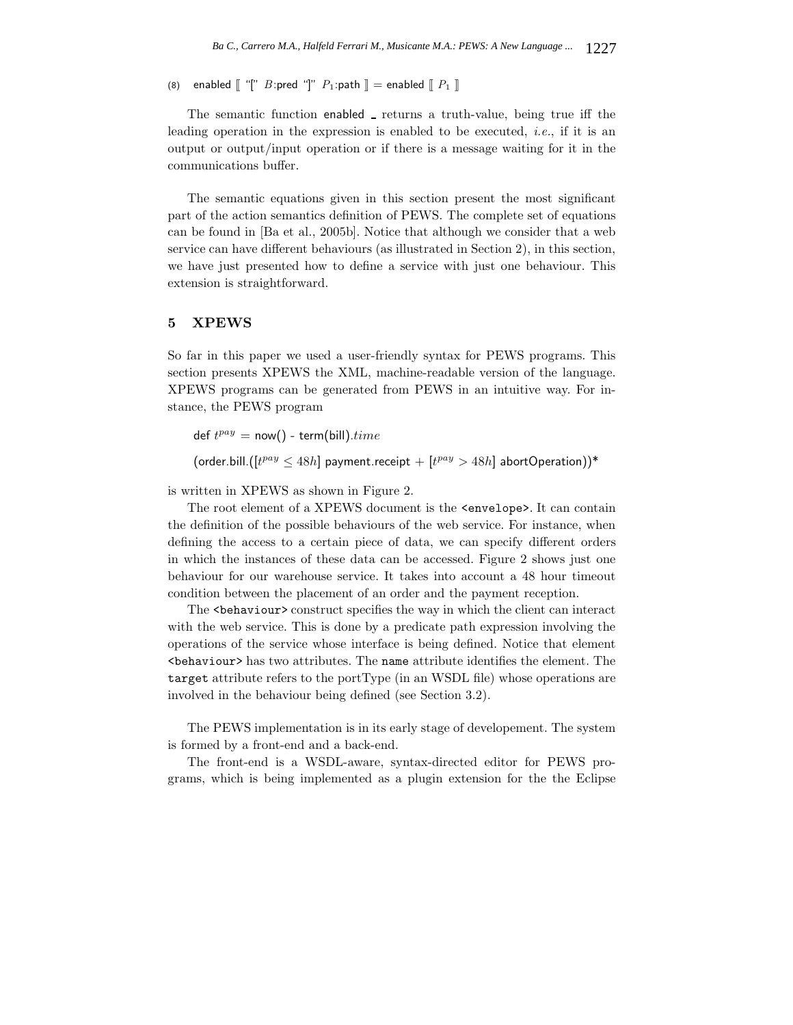enabled  $[$  "[" *B*:pred "]"  $P_1$ :path  $]$  = enabled  $[$   $P_1$   $]$ 

The semantic function enabled \_ returns a truth-value, being true iff the leading operation in the expression is enabled to be executed, *i.e.*, if it is an output or output/input operation or if there is a message waiting for it in the communications buffer.

The semantic equations given in this section present the most significant part of the action semantics definition of PEWS. The complete set of equations can be found in [Ba et al., 2005b]. Notice that although we consider that a web service can have different behaviours (as illustrated in Section 2), in this section, we have just presented how to define a service with just one behaviour. This extension is straightforward.

## **5 XPEWS**

So far in this paper we used a user-friendly syntax for PEWS programs. This section presents XPEWS the XML, machine-readable version of the language. XPEWS programs can be generated from PEWS in an intuitive way. For instance, the PEWS program

def  $t^{pay} = \text{now}()$  - term(bill). $time$  $($ order.bill. $([t^{pay} \leq 48h]$  payment.receipt  $+[t^{pay} > 48h]$  abortOperation))\*

is written in XPEWS as shown in Figure 2.

The root element of a XPEWS document is the <envelope>. It can contain the definition of the possible behaviours of the web service. For instance, when defining the access to a certain piece of data, we can specify different orders in which the instances of these data can be accessed. Figure 2 shows just one behaviour for our warehouse service. It takes into account a 48 hour timeout condition between the placement of an order and the payment reception.

The <br/>behaviour> construct specifies the way in which the client can interact with the web service. This is done by a predicate path expression involving the operations of the service whose interface is being defined. Notice that element <behaviour> has two attributes. The name attribute identifies the element. The target attribute refers to the portType (in an WSDL file) whose operations are involved in the behaviour being defined (see Section 3.2).

The PEWS implementation is in its early stage of developement. The system is formed by a front-end and a back-end.

The front-end is a WSDL-aware, syntax-directed editor for PEWS programs, which is being implemented as a plugin extension for the the Eclipse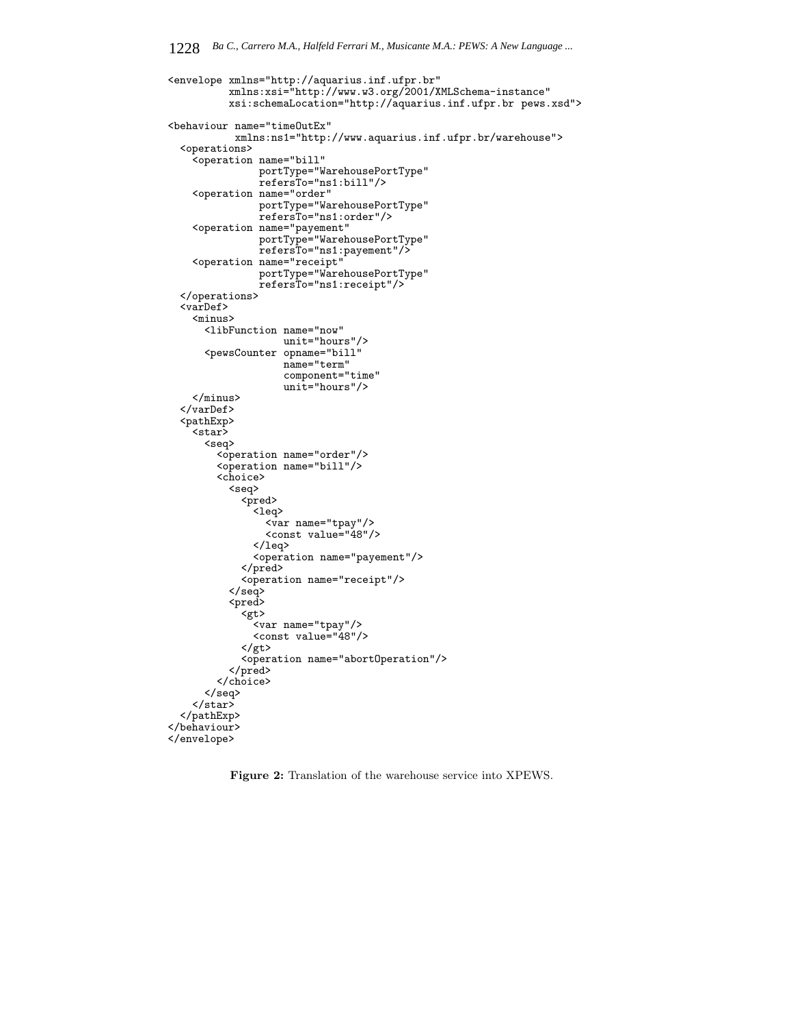```
<envelope xmlns="http://aquarius.inf.ufpr.br"
          xmlns:xsi="http://www.w3.org/2001/XMLSchema-instance"
          xsi:schemaLocation="http://aquarius.inf.ufpr.br pews.xsd">
<behaviour name="timeOutEx"
           xmlns:ns1="http://www.aquarius.inf.ufpr.br/warehouse">
  <operations>
    <operation name="bill"
               portType="WarehousePortType"
               refersTo="ns1:bill"/>
    <operation name="order"
               portType="WarehousePortType"
               refersTo="ns1:order"/>
    <operation name="payement"
               portType="WarehousePortType"
               refersTo="ns1:payement"/>
    <operation name="receipt"
               portType="WarehousePortType"
               refersTo="ns1:receipt"/>
  </operations>
  <varDef>
    <minus>
      <libFunction name="now"
                   unit="hours"/>
      <pewsCounter opname="bill"
                   name="term"
                   component="time"
                   unit="hours"/>
    </minus>
  </varDef>
  <pathExp>
    <star>
      <seq>
        <operation name="order"/>
        <operation name="bill"/>
        <choice>
          <seq>
            <pred>
              <leq>
                <var name="tpay"/>
                <const value="48"/>
              \langleleq>
              <operation name="payement"/>
            </pred>
            <operation name="receipt"/>
          </seq>
          <pred>
            <gt>
              <var name="tpay"/>
              <const value="48"/>
            </gt>
            <operation name="abortOperation"/>
          </pred>
        </choice>
      </seq>
    </star>
  </pathExp>
</behaviour>
</envelope>
```
**Figure 2:** Translation of the warehouse service into XPEWS.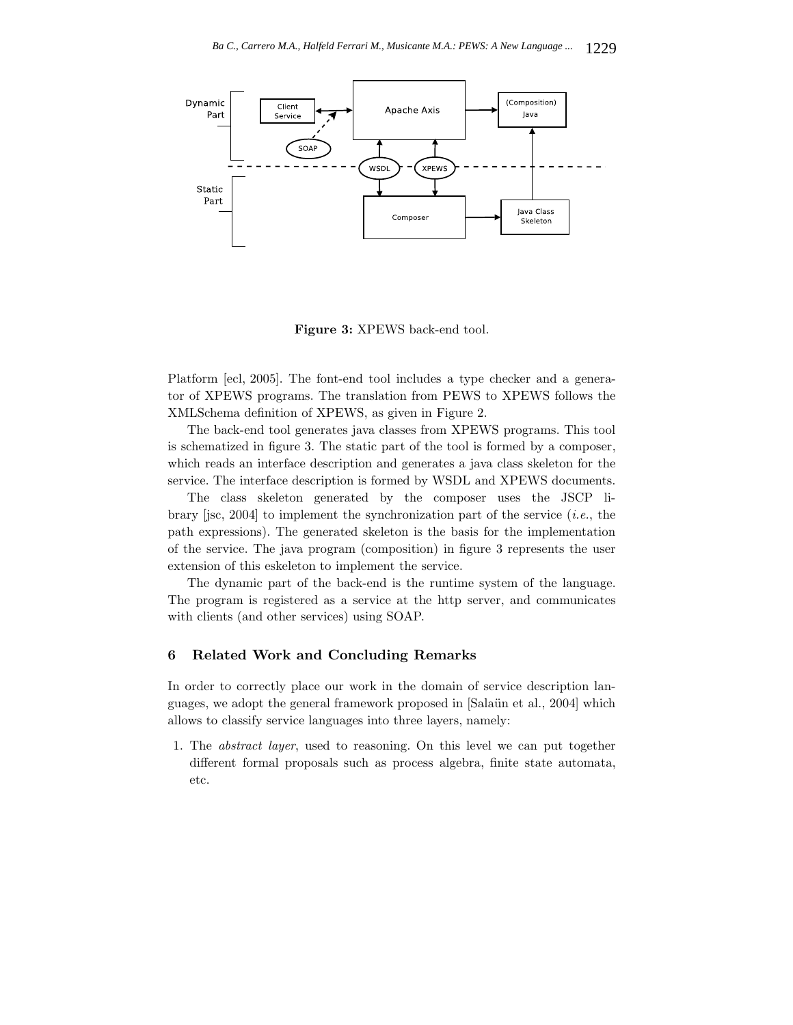

**Figure 3:** XPEWS back-end tool.

Platform [ecl, 2005]. The font-end tool includes a type checker and a generator of XPEWS programs. The translation from PEWS to XPEWS follows the XMLSchema definition of XPEWS, as given in Figure 2.

The back-end tool generates java classes from XPEWS programs. This tool is schematized in figure 3. The static part of the tool is formed by a composer, which reads an interface description and generates a java class skeleton for the service. The interface description is formed by WSDL and XPEWS documents.

The class skeleton generated by the composer uses the JSCP library [jsc, 2004] to implement the synchronization part of the service (*i.e.*, the path expressions). The generated skeleton is the basis for the implementation of the service. The java program (composition) in figure 3 represents the user extension of this eskeleton to implement the service.

The dynamic part of the back-end is the runtime system of the language. The program is registered as a service at the http server, and communicates with clients (and other services) using SOAP.

## **6 Related Work and Concluding Remarks**

In order to correctly place our work in the domain of service description languages, we adopt the general framework proposed in [Salaün et al., 2004] which allows to classify service languages into three layers, namely:

1. The *abstract layer*, used to reasoning. On this level we can put together different formal proposals such as process algebra, finite state automata, etc.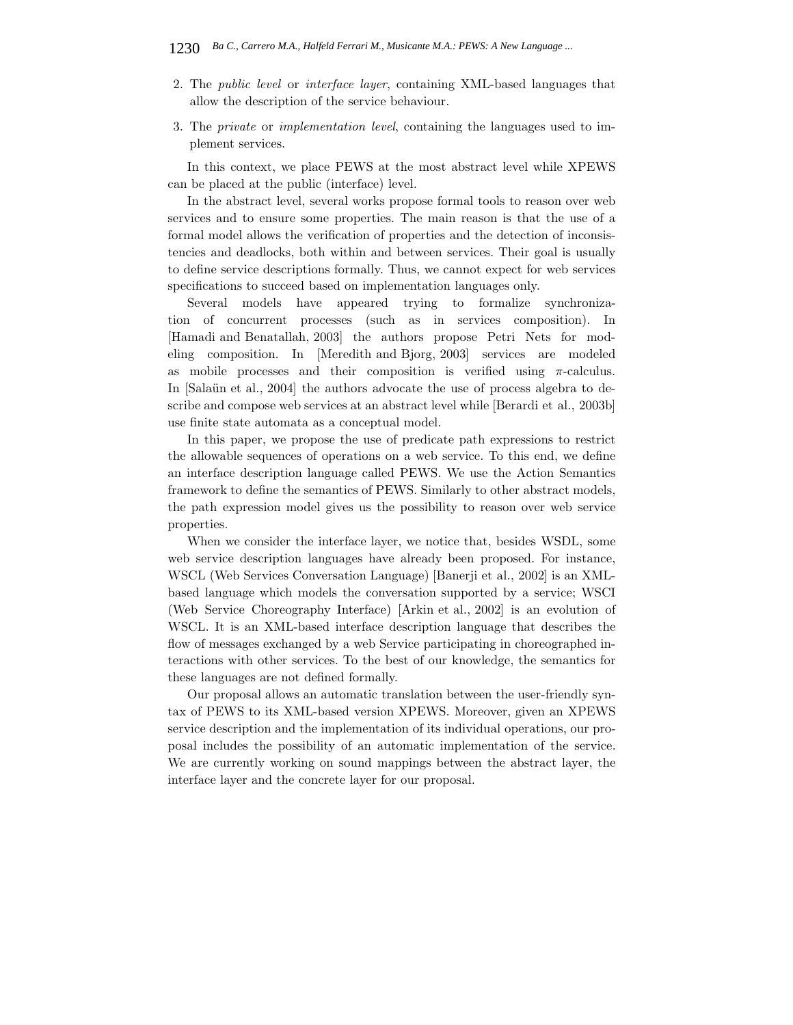- 2. The *public level* or *interface layer*, containing XML-based languages that allow the description of the service behaviour.
- 3. The *private* or *implementation level*, containing the languages used to implement services.

In this context, we place PEWS at the most abstract level while XPEWS can be placed at the public (interface) level.

In the abstract level, several works propose formal tools to reason over web services and to ensure some properties. The main reason is that the use of a formal model allows the verification of properties and the detection of inconsistencies and deadlocks, both within and between services. Their goal is usually to define service descriptions formally. Thus, we cannot expect for web services specifications to succeed based on implementation languages only.

Several models have appeared trying to formalize synchronization of concurrent processes (such as in services composition). In [Hamadi and Benatallah, 2003] the authors propose Petri Nets for modeling composition. In [Meredith and Bjorg, 2003] services are modeled as mobile processes and their composition is verified using  $\pi$ -calculus. In  $[Salaim et al., 2004]$  the authors advocate the use of process algebra to describe and compose web services at an abstract level while [Berardi et al., 2003b] use finite state automata as a conceptual model.

In this paper, we propose the use of predicate path expressions to restrict the allowable sequences of operations on a web service. To this end, we define an interface description language called PEWS. We use the Action Semantics framework to define the semantics of PEWS. Similarly to other abstract models, the path expression model gives us the possibility to reason over web service properties.

When we consider the interface layer, we notice that, besides WSDL, some web service description languages have already been proposed. For instance, WSCL (Web Services Conversation Language) [Banerji et al., 2002] is an XMLbased language which models the conversation supported by a service; WSCI (Web Service Choreography Interface) [Arkin et al., 2002] is an evolution of WSCL. It is an XML-based interface description language that describes the flow of messages exchanged by a web Service participating in choreographed interactions with other services. To the best of our knowledge, the semantics for these languages are not defined formally.

Our proposal allows an automatic translation between the user-friendly syntax of PEWS to its XML-based version XPEWS. Moreover, given an XPEWS service description and the implementation of its individual operations, our proposal includes the possibility of an automatic implementation of the service. We are currently working on sound mappings between the abstract layer, the interface layer and the concrete layer for our proposal.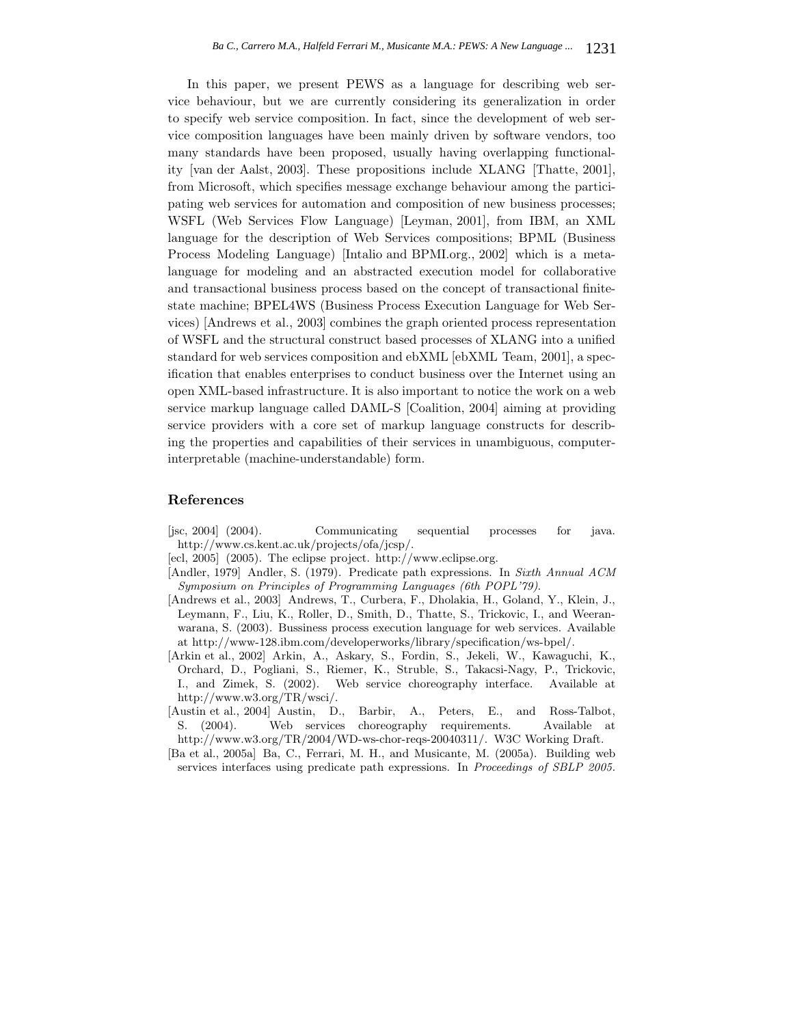In this paper, we present PEWS as a language for describing web service behaviour, but we are currently considering its generalization in order to specify web service composition. In fact, since the development of web service composition languages have been mainly driven by software vendors, too many standards have been proposed, usually having overlapping functionality [van der Aalst, 2003]. These propositions include XLANG [Thatte, 2001], from Microsoft, which specifies message exchange behaviour among the participating web services for automation and composition of new business processes; WSFL (Web Services Flow Language) [Leyman, 2001], from IBM, an XML language for the description of Web Services compositions; BPML (Business Process Modeling Language) [Intalio and BPMI.org., 2002] which is a metalanguage for modeling and an abstracted execution model for collaborative and transactional business process based on the concept of transactional finitestate machine; BPEL4WS (Business Process Execution Language for Web Services) [Andrews et al., 2003] combines the graph oriented process representation of WSFL and the structural construct based processes of XLANG into a unified standard for web services composition and ebXML [ebXML Team, 2001], a specification that enables enterprises to conduct business over the Internet using an open XML-based infrastructure. It is also important to notice the work on a web service markup language called DAML-S [Coalition, 2004] aiming at providing service providers with a core set of markup language constructs for describing the properties and capabilities of their services in unambiguous, computerinterpretable (machine-understandable) form.

#### **References**

- [jsc, 2004] (2004). Communicating sequential processes for java. http://www.cs.kent.ac.uk/projects/ofa/jcsp/.
- [ecl, 2005] (2005). The eclipse project. http://www.eclipse.org.
- [Andler, 1979] Andler, S. (1979). Predicate path expressions. In *Sixth Annual ACM Symposium on Principles of Programming Languages (6th POPL'79)*.
- [Andrews et al., 2003] Andrews, T., Curbera, F., Dholakia, H., Goland, Y., Klein, J., Leymann, F., Liu, K., Roller, D., Smith, D., Thatte, S., Trickovic, I., and Weeranwarana, S. (2003). Bussiness process execution language for web services. Available at http://www-128.ibm.com/developerworks/library/specification/ws-bpel/.
- [Arkin et al., 2002] Arkin, A., Askary, S., Fordin, S., Jekeli, W., Kawaguchi, K., Orchard, D., Pogliani, S., Riemer, K., Struble, S., Takacsi-Nagy, P., Trickovic, I., and Zimek, S. (2002). Web service choreography interface. Available at http://www.w3.org/TR/wsci/.
- [Austin et al., 2004] Austin, D., Barbir, A., Peters, E., and Ross-Talbot, S. (2004). Web services choreography requirements. Available at http://www.w3.org/TR/2004/WD-ws-chor-reqs-20040311/. W3C Working Draft.
- [Ba et al., 2005a] Ba, C., Ferrari, M. H., and Musicante, M. (2005a). Building web services interfaces using predicate path expressions. In *Proceedings of SBLP 2005.*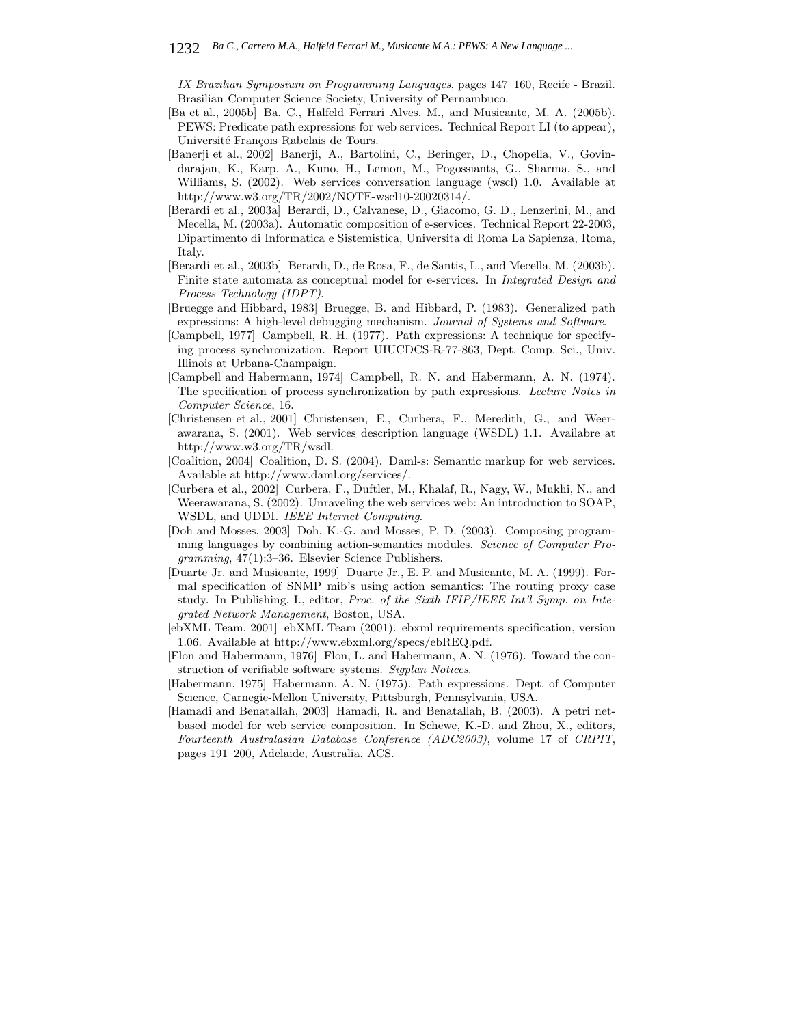*IX Brazilian Symposium on Programming Languages*, pages 147–160, Recife - Brazil. Brasilian Computer Science Society, University of Pernambuco.

- [Ba et al., 2005b] Ba, C., Halfeld Ferrari Alves, M., and Musicante, M. A. (2005b). PEWS: Predicate path expressions for web services. Technical Report LI (to appear), Université François Rabelais de Tours.
- [Banerji et al., 2002] Banerji, A., Bartolini, C., Beringer, D., Chopella, V., Govindarajan, K., Karp, A., Kuno, H., Lemon, M., Pogossiants, G., Sharma, S., and Williams, S. (2002). Web services conversation language (wscl) 1.0. Available at http://www.w3.org/TR/2002/NOTE-wscl10-20020314/.
- [Berardi et al., 2003a] Berardi, D., Calvanese, D., Giacomo, G. D., Lenzerini, M., and Mecella, M. (2003a). Automatic composition of e-services. Technical Report 22-2003, Dipartimento di Informatica e Sistemistica, Universita di Roma La Sapienza, Roma, Italy.
- [Berardi et al., 2003b] Berardi, D., de Rosa, F., de Santis, L., and Mecella, M. (2003b). Finite state automata as conceptual model for e-services. In *Integrated Design and Process Technology (IDPT)*.
- [Bruegge and Hibbard, 1983] Bruegge, B. and Hibbard, P. (1983). Generalized path expressions: A high-level debugging mechanism. *Journal of Systems and Software*.
- [Campbell, 1977] Campbell, R. H. (1977). Path expressions: A technique for specifying process synchronization. Report UIUCDCS-R-77-863, Dept. Comp. Sci., Univ. Illinois at Urbana-Champaign.
- [Campbell and Habermann, 1974] Campbell, R. N. and Habermann, A. N. (1974). The specification of process synchronization by path expressions. *Lecture Notes in Computer Science*, 16.
- [Christensen et al., 2001] Christensen, E., Curbera, F., Meredith, G., and Weerawarana, S. (2001). Web services description language (WSDL) 1.1. Availabre at http://www.w3.org/TR/wsdl.
- [Coalition, 2004] Coalition, D. S. (2004). Daml-s: Semantic markup for web services. Available at http://www.daml.org/services/.
- [Curbera et al., 2002] Curbera, F., Duftler, M., Khalaf, R., Nagy, W., Mukhi, N., and Weerawarana, S. (2002). Unraveling the web services web: An introduction to SOAP, WSDL, and UDDI. *IEEE Internet Computing*.
- [Doh and Mosses, 2003] Doh, K.-G. and Mosses, P. D. (2003). Composing programming languages by combining action-semantics modules. *Science of Computer Programming*, 47(1):3–36. Elsevier Science Publishers.
- [Duarte Jr. and Musicante, 1999] Duarte Jr., E. P. and Musicante, M. A. (1999). Formal specification of SNMP mib's using action semantics: The routing proxy case study. In Publishing, I., editor, *Proc. of the Sixth IFIP/IEEE Int'l Symp. on Integrated Network Management*, Boston, USA.
- [ebXML Team, 2001] ebXML Team (2001). ebxml requirements specification, version 1.06. Available at http://www.ebxml.org/specs/ebREQ.pdf.
- [Flon and Habermann, 1976] Flon, L. and Habermann, A. N. (1976). Toward the construction of verifiable software systems. *Sigplan Notices*.
- [Habermann, 1975] Habermann, A. N. (1975). Path expressions. Dept. of Computer Science, Carnegie-Mellon University, Pittsburgh, Pennsylvania, USA.
- [Hamadi and Benatallah, 2003] Hamadi, R. and Benatallah, B. (2003). A petri netbased model for web service composition. In Schewe, K.-D. and Zhou, X., editors, *Fourteenth Australasian Database Conference (ADC2003)*, volume 17 of *CRPIT*, pages 191–200, Adelaide, Australia. ACS.